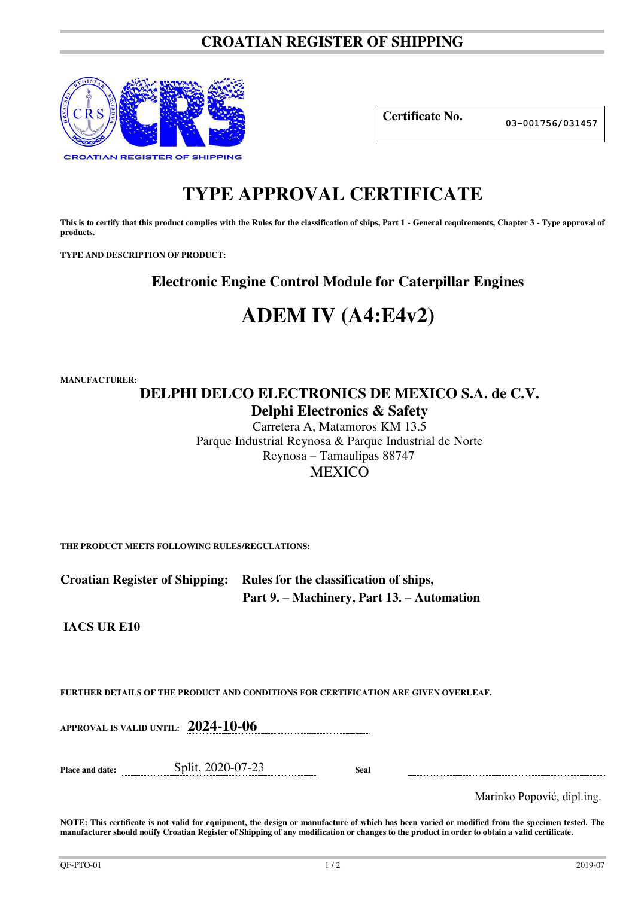# **CROATIAN REGISTER OF SHIPPING**



**Certificate No. 03-001756/031457**

# **TYPE APPROVAL CERTIFICATE**

This is to certify that this product complies with the Rules for the classification of ships, Part 1 - General requirements, Chapter 3 - Type approval of **products.** 

**TYPE AND DESCRIPTION OF PRODUCT:** 

**Electronic Engine Control Module for Caterpillar Engines** 

# **ADEM IV (A4:E4v2)**

**MANUFACTURER:**

# **DELPHI DELCO ELECTRONICS DE MEXICO S.A. de C.V. Delphi Electronics & Safety**

Carretera A, Matamoros KM 13.5 Parque Industrial Reynosa & Parque Industrial de Norte Reynosa – Tamaulipas 88747 MEXICO

**THE PRODUCT MEETS FOLLOWING RULES/REGULATIONS:**

**Croatian Register of Shipping: Rules for the classification of ships, Part 9. – Machinery, Part 13. – Automation** 

**IACS UR E10** 

**FURTHER DETAILS OF THE PRODUCT AND CONDITIONS FOR CERTIFICATION ARE GIVEN OVERLEAF.**

**APPROVAL IS VALID UNTIL: 2024-10-06**

**Place and date:** Split, 2020-07-23 **Seal** 

Marinko Popović, dipl.ing.

**NOTE: This certificate is not valid for equipment, the design or manufacture of which has been varied or modified from the specimen tested. The manufacturer should notify Croatian Register of Shipping of any modification or changes to the product in order to obtain a valid certificate.**